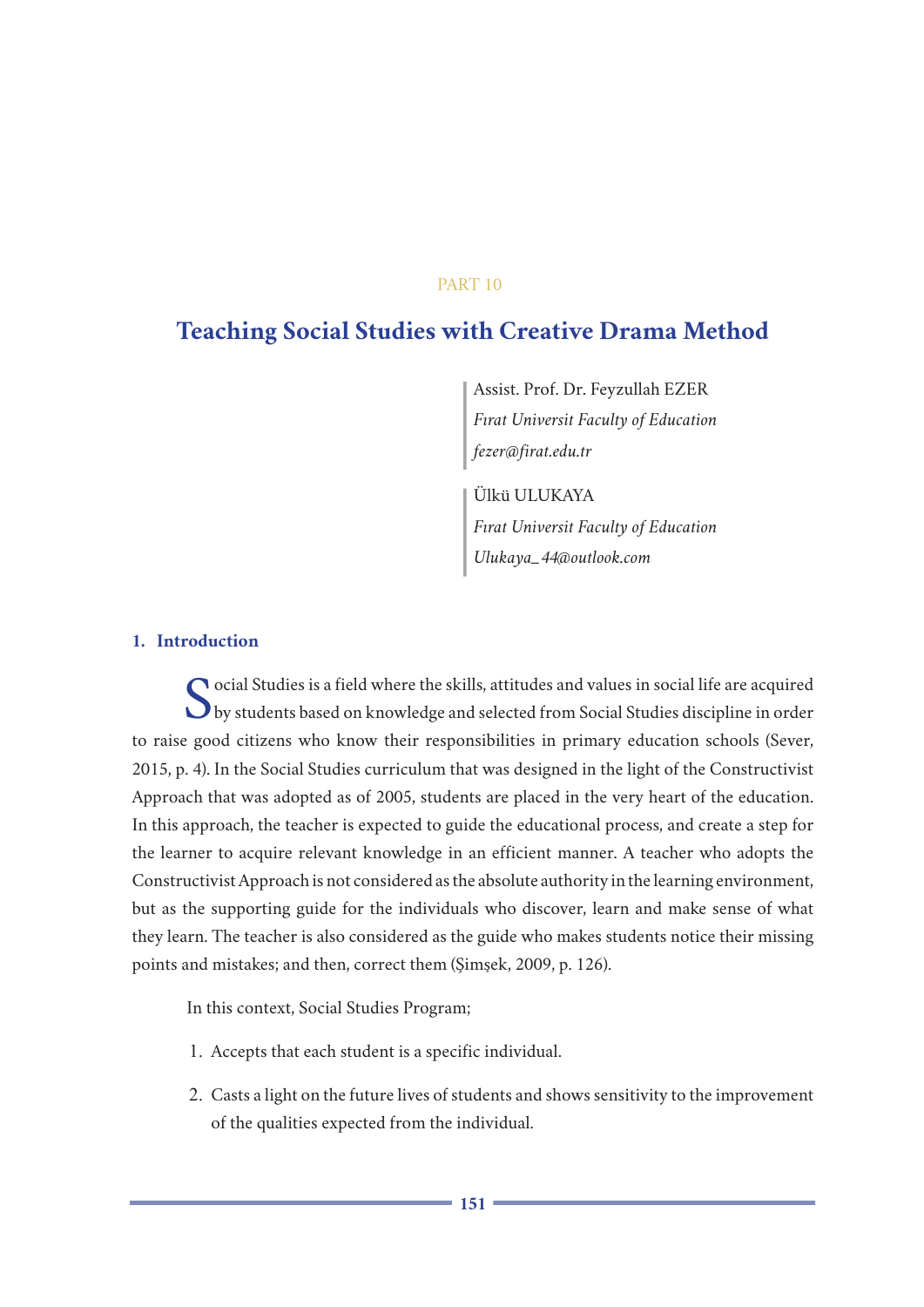# PART 10

# **Teaching Social Studies with Creative Drama Method**

Assist. Prof. Dr. Feyzullah EZER *Fırat Universit Faculty of Education fezer@firat.edu.tr*

Ülkü ULUKAYA *Fırat Universit Faculty of Education Ulukaya\_44@outlook.com*

## **1. Introduction**

 $\bigcap$ ocial Studies is a field where the skills, attitudes and values in social life are acquired by students based on knowledge and selected from Social Studies discipline in order to raise good citizens who know their responsibilities in primary education schools (Sever, 2015, p. 4). In the Social Studies curriculum that was designed in the light of the Constructivist Approach that was adopted as of 2005, students are placed in the very heart of the education. In this approach, the teacher is expected to guide the educational process, and create a step for the learner to acquire relevant knowledge in an efficient manner. A teacher who adopts the Constructivist Approach is not considered as the absolute authority in the learning environment, but as the supporting guide for the individuals who discover, learn and make sense of what they learn. The teacher is also considered as the guide who makes students notice their missing points and mistakes; and then, correct them (Şimşek, 2009, p. 126).

In this context, Social Studies Program;

- 1. Accepts that each student is a specific individual.
- 2. Casts a light on the future lives of students and shows sensitivity to the improvement of the qualities expected from the individual.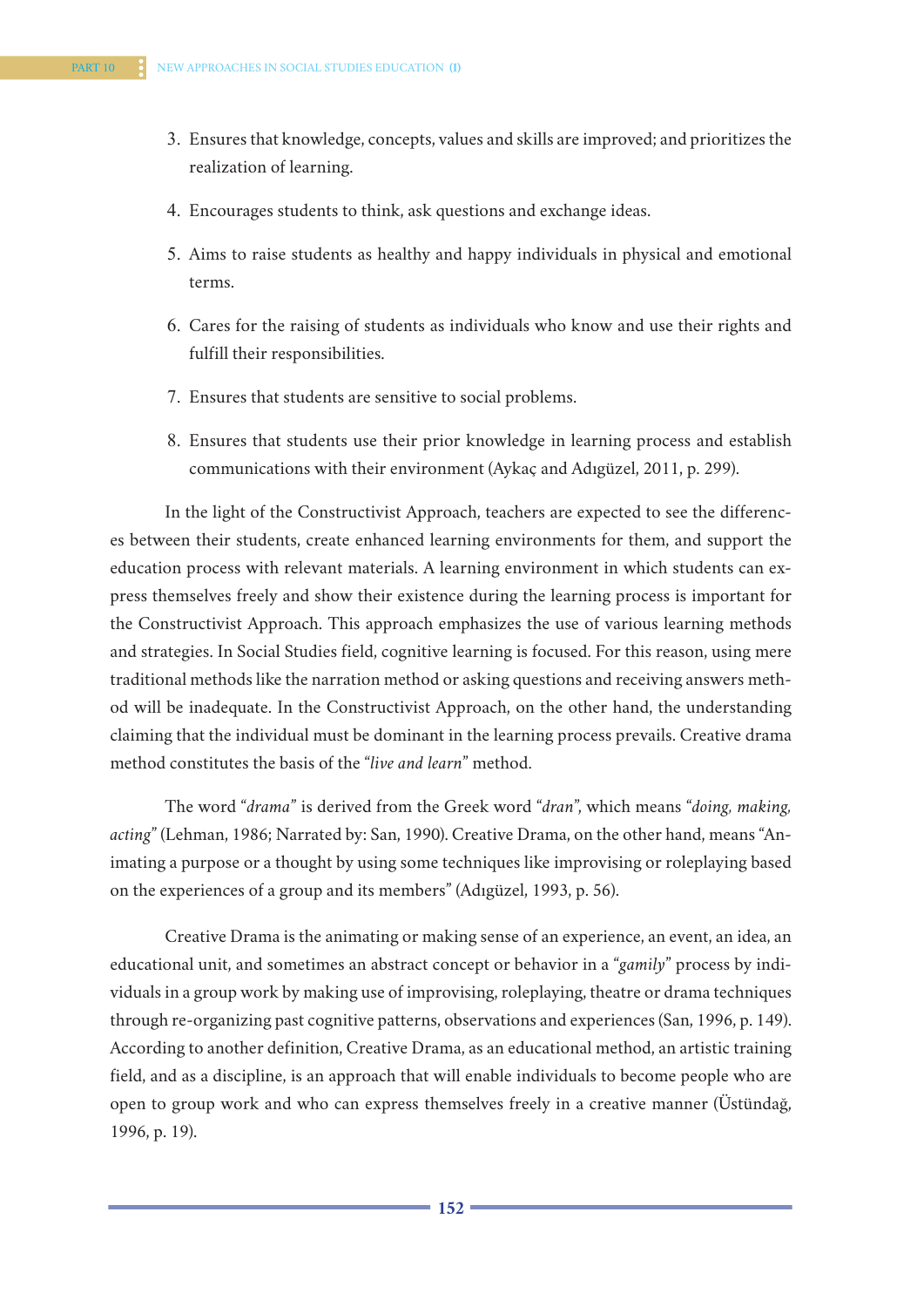- 3. Ensures that knowledge, concepts, values and skills are improved; and prioritizes the realization of learning.
- 4. Encourages students to think, ask questions and exchange ideas.
- 5. Aims to raise students as healthy and happy individuals in physical and emotional terms.
- 6. Cares for the raising of students as individuals who know and use their rights and fulfill their responsibilities.
- 7. Ensures that students are sensitive to social problems.
- 8. Ensures that students use their prior knowledge in learning process and establish communications with their environment (Aykaç and Adıgüzel, 2011, p. 299).

In the light of the Constructivist Approach, teachers are expected to see the differences between their students, create enhanced learning environments for them, and support the education process with relevant materials. A learning environment in which students can express themselves freely and show their existence during the learning process is important for the Constructivist Approach. This approach emphasizes the use of various learning methods and strategies. In Social Studies field, cognitive learning is focused. For this reason, using mere traditional methods like the narration method or asking questions and receiving answers method will be inadequate. In the Constructivist Approach, on the other hand, the understanding claiming that the individual must be dominant in the learning process prevails. Creative drama method constitutes the basis of the "*live and learn*" method.

The word "*drama*" is derived from the Greek word "*dran*", which means "*doing, making, acting*" (Lehman, 1986; Narrated by: San, 1990). Creative Drama, on the other hand, means "Animating a purpose or a thought by using some techniques like improvising or roleplaying based on the experiences of a group and its members" (Adıgüzel, 1993, p. 56).

Creative Drama is the animating or making sense of an experience, an event, an idea, an educational unit, and sometimes an abstract concept or behavior in a "*gamily*" process by individuals in a group work by making use of improvising, roleplaying, theatre or drama techniques through re-organizing past cognitive patterns, observations and experiences (San, 1996, p. 149). According to another definition, Creative Drama, as an educational method, an artistic training field, and as a discipline, is an approach that will enable individuals to become people who are open to group work and who can express themselves freely in a creative manner (Üstündağ, 1996, p. 19).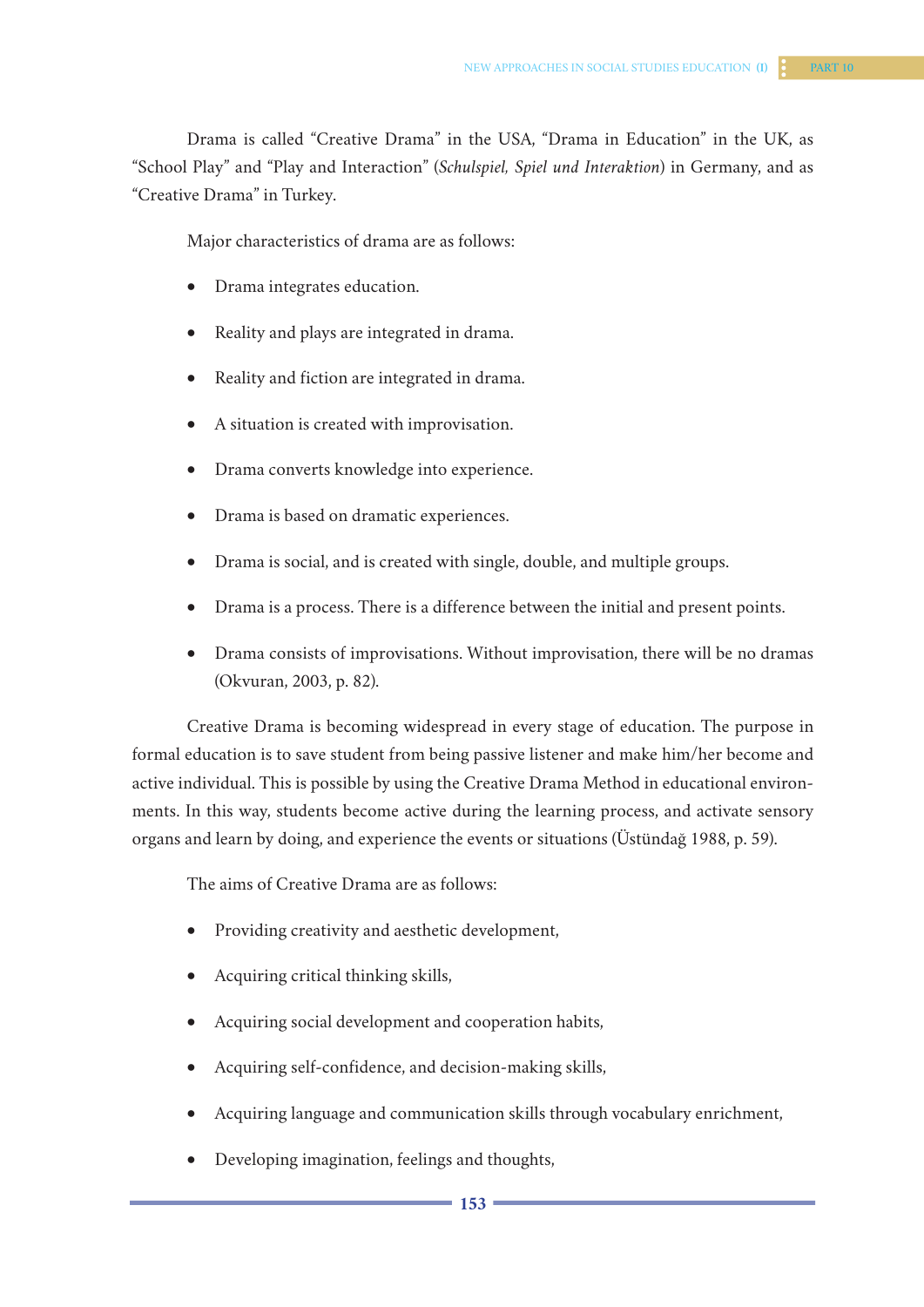Drama is called "Creative Drama" in the USA, "Drama in Education" in the UK, as "School Play" and "Play and Interaction" (*Schulspiel, Spiel und Interaktion*) in Germany, and as "Creative Drama" in Turkey.

Major characteristics of drama are as follows:

- Drama integrates education.
- Reality and plays are integrated in drama.
- Reality and fiction are integrated in drama.
- A situation is created with improvisation.
- • Drama converts knowledge into experience.
- Drama is based on dramatic experiences.
- Drama is social, and is created with single, double, and multiple groups.
- Drama is a process. There is a difference between the initial and present points.
- Drama consists of improvisations. Without improvisation, there will be no dramas (Okvuran, 2003, p. 82).

Creative Drama is becoming widespread in every stage of education. The purpose in formal education is to save student from being passive listener and make him/her become and active individual. This is possible by using the Creative Drama Method in educational environments. In this way, students become active during the learning process, and activate sensory organs and learn by doing, and experience the events or situations (Üstündağ 1988, p. 59).

The aims of Creative Drama are as follows:

- Providing creativity and aesthetic development,
- Acquiring critical thinking skills,
- Acquiring social development and cooperation habits,
- Acquiring self-confidence, and decision-making skills,
- Acquiring language and communication skills through vocabulary enrichment,
- Developing imagination, feelings and thoughts,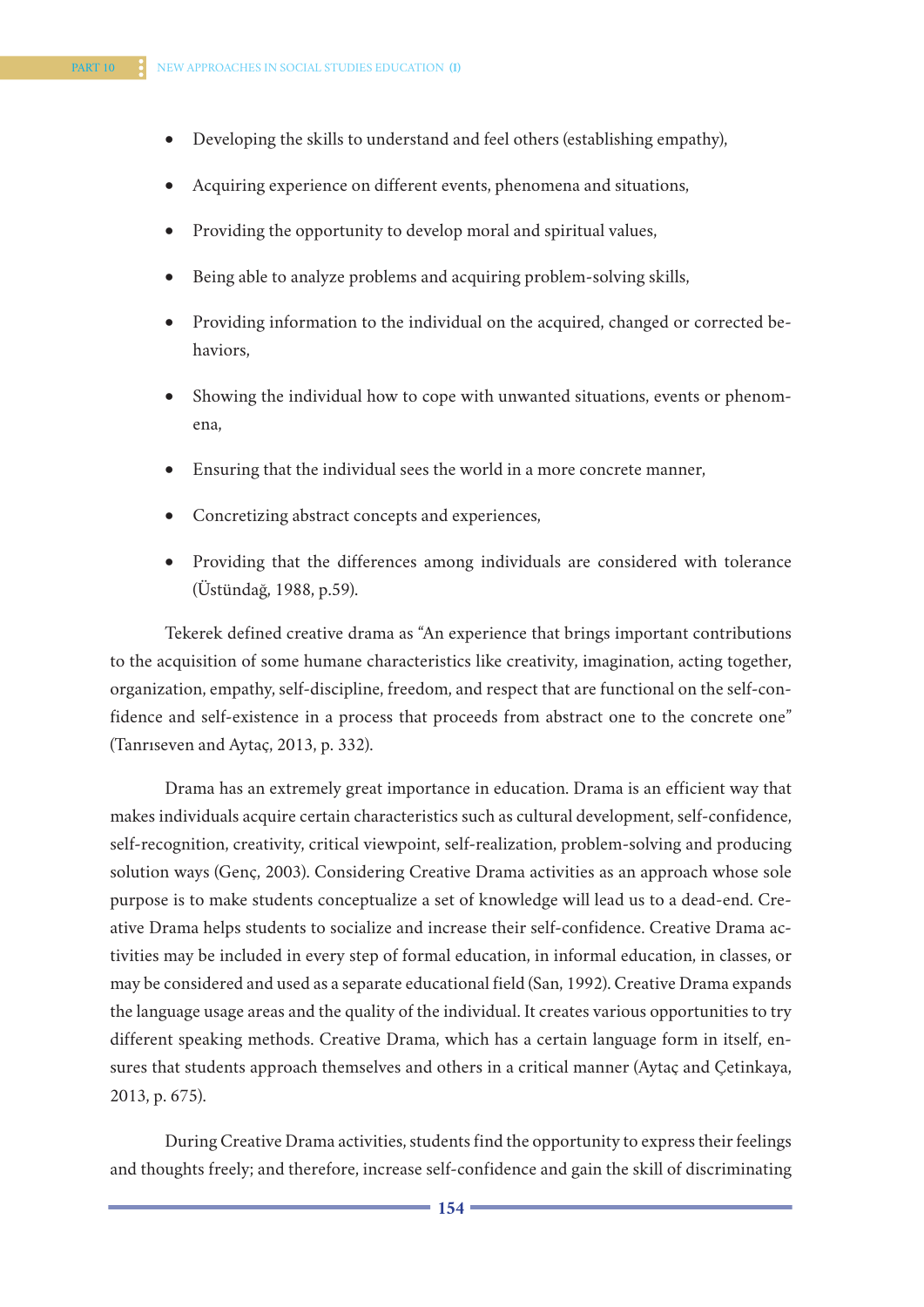- • Developing the skills to understand and feel others (establishing empathy),
- Acquiring experience on different events, phenomena and situations,
- Providing the opportunity to develop moral and spiritual values,
- Being able to analyze problems and acquiring problem-solving skills,
- Providing information to the individual on the acquired, changed or corrected behaviors,
- Showing the individual how to cope with unwanted situations, events or phenomena,
- Ensuring that the individual sees the world in a more concrete manner,
- Concretizing abstract concepts and experiences,
- Providing that the differences among individuals are considered with tolerance (Üstündağ, 1988, p.59).

Tekerek defined creative drama as "An experience that brings important contributions to the acquisition of some humane characteristics like creativity, imagination, acting together, organization, empathy, self-discipline, freedom, and respect that are functional on the self-confidence and self-existence in a process that proceeds from abstract one to the concrete one" (Tanrıseven and Aytaç, 2013, p. 332).

Drama has an extremely great importance in education. Drama is an efficient way that makes individuals acquire certain characteristics such as cultural development, self-confidence, self-recognition, creativity, critical viewpoint, self-realization, problem-solving and producing solution ways (Genç, 2003). Considering Creative Drama activities as an approach whose sole purpose is to make students conceptualize a set of knowledge will lead us to a dead-end. Creative Drama helps students to socialize and increase their self-confidence. Creative Drama activities may be included in every step of formal education, in informal education, in classes, or may be considered and used as a separate educational field (San, 1992). Creative Drama expands the language usage areas and the quality of the individual. It creates various opportunities to try different speaking methods. Creative Drama, which has a certain language form in itself, ensures that students approach themselves and others in a critical manner (Aytaç and Çetinkaya, 2013, p. 675).

During Creative Drama activities, students find the opportunity to express their feelings and thoughts freely; and therefore, increase self-confidence and gain the skill of discriminating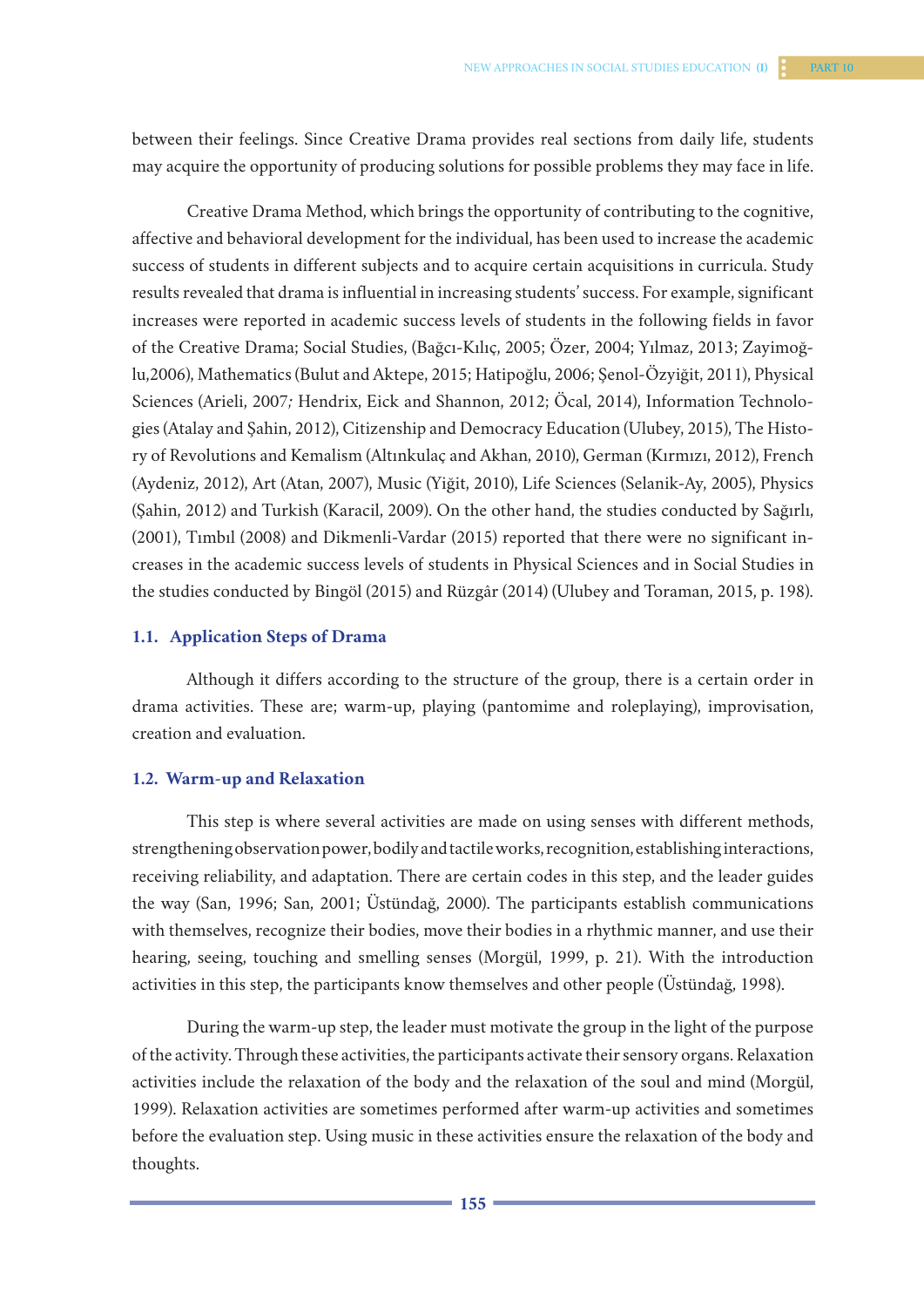between their feelings. Since Creative Drama provides real sections from daily life, students may acquire the opportunity of producing solutions for possible problems they may face in life.

Creative Drama Method, which brings the opportunity of contributing to the cognitive, affective and behavioral development for the individual, has been used to increase the academic success of students in different subjects and to acquire certain acquisitions in curricula. Study results revealed that drama is influential in increasing students' success. For example, significant increases were reported in academic success levels of students in the following fields in favor of the Creative Drama; Social Studies, (Bağcı-Kılıç, 2005; Özer, 2004; Yılmaz, 2013; Zayimoğlu,2006), Mathematics (Bulut and Aktepe, 2015; Hatipoğlu, 2006; Şenol-Özyiğit, 2011), Physical Sciences (Arieli, 2007*;* Hendrix, Eick and Shannon, 2012; Öcal, 2014), Information Technologies (Atalay and Şahin, 2012), Citizenship and Democracy Education (Ulubey, 2015), The History of Revolutions and Kemalism (Altınkulaç and Akhan, 2010), German (Kırmızı, 2012), French (Aydeniz, 2012), Art (Atan, 2007), Music (Yiğit, 2010), Life Sciences (Selanik-Ay, 2005), Physics (Şahin, 2012) and Turkish (Karacil, 2009). On the other hand, the studies conducted by Sağırlı, (2001), Tımbıl (2008) and Dikmenli-Vardar (2015) reported that there were no significant increases in the academic success levels of students in Physical Sciences and in Social Studies in the studies conducted by Bingöl (2015) and Rüzgâr (2014) (Ulubey and Toraman, 2015, p. 198).

# **1.1. Application Steps of Drama**

Although it differs according to the structure of the group, there is a certain order in drama activities. These are; warm-up, playing (pantomime and roleplaying), improvisation, creation and evaluation.

#### **1.2. Warm-up and Relaxation**

This step is where several activities are made on using senses with different methods, strengthening observation power, bodily and tactile works, recognition, establishing interactions, receiving reliability, and adaptation. There are certain codes in this step, and the leader guides the way (San, 1996; San, 2001; Üstündağ, 2000). The participants establish communications with themselves, recognize their bodies, move their bodies in a rhythmic manner, and use their hearing, seeing, touching and smelling senses (Morgül, 1999, p. 21). With the introduction activities in this step, the participants know themselves and other people (Üstündağ, 1998).

During the warm-up step, the leader must motivate the group in the light of the purpose of the activity. Through these activities, the participants activate their sensory organs. Relaxation activities include the relaxation of the body and the relaxation of the soul and mind (Morgül, 1999). Relaxation activities are sometimes performed after warm-up activities and sometimes before the evaluation step. Using music in these activities ensure the relaxation of the body and thoughts.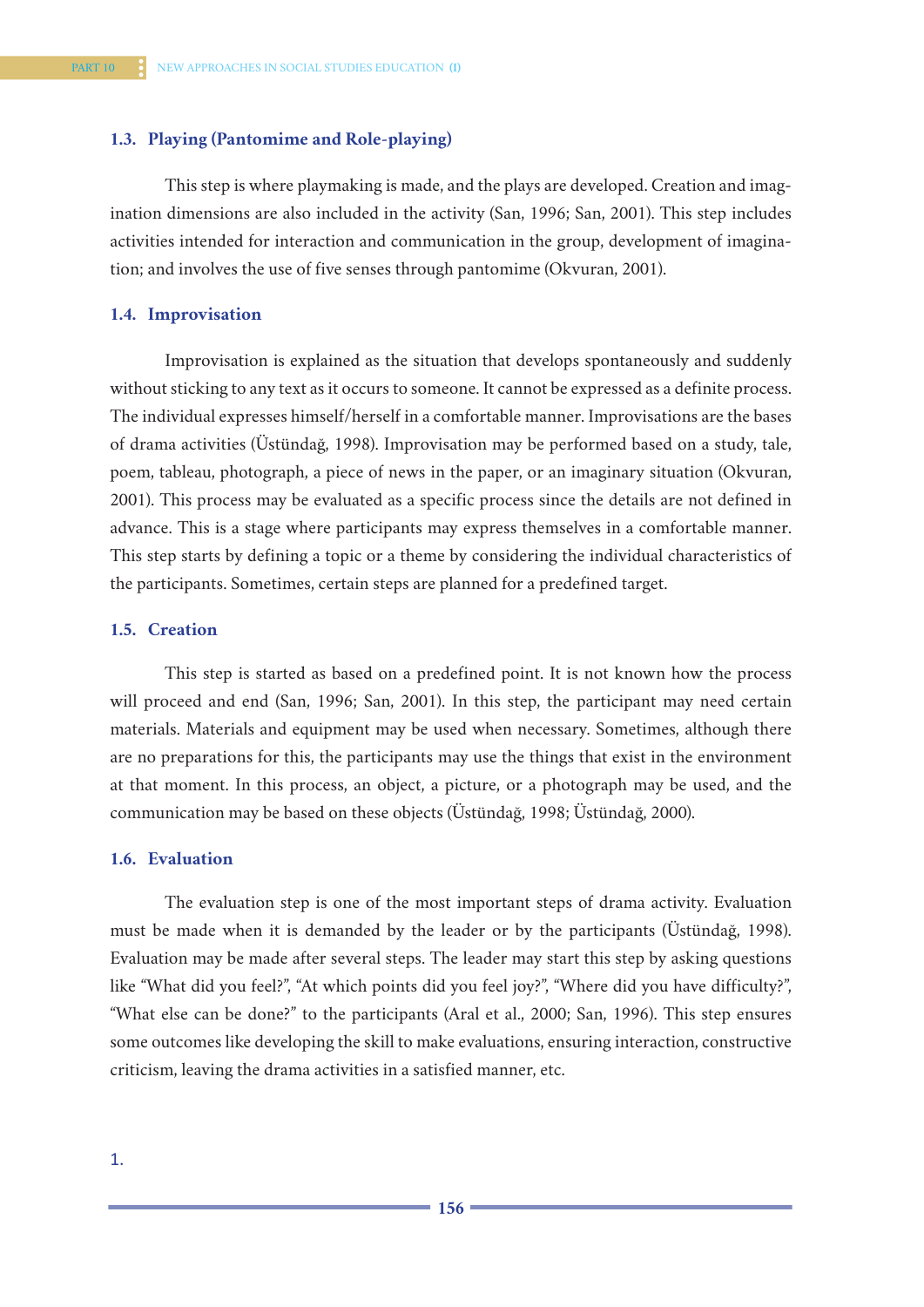#### **1.3. Playing (Pantomime and Role-playing)**

This step is where playmaking is made, and the plays are developed. Creation and imagination dimensions are also included in the activity (San, 1996; San, 2001). This step includes activities intended for interaction and communication in the group, development of imagination; and involves the use of five senses through pantomime (Okvuran, 2001).

## **1.4. Improvisation**

Improvisation is explained as the situation that develops spontaneously and suddenly without sticking to any text as it occurs to someone. It cannot be expressed as a definite process. The individual expresses himself/herself in a comfortable manner. Improvisations are the bases of drama activities (Üstündağ, 1998). Improvisation may be performed based on a study, tale, poem, tableau, photograph, a piece of news in the paper, or an imaginary situation (Okvuran, 2001). This process may be evaluated as a specific process since the details are not defined in advance. This is a stage where participants may express themselves in a comfortable manner. This step starts by defining a topic or a theme by considering the individual characteristics of the participants. Sometimes, certain steps are planned for a predefined target.

## **1.5. Creation**

This step is started as based on a predefined point. It is not known how the process will proceed and end (San, 1996; San, 2001). In this step, the participant may need certain materials. Materials and equipment may be used when necessary. Sometimes, although there are no preparations for this, the participants may use the things that exist in the environment at that moment. In this process, an object, a picture, or a photograph may be used, and the communication may be based on these objects (Üstündağ, 1998; Üstündağ, 2000).

#### **1.6. Evaluation**

The evaluation step is one of the most important steps of drama activity. Evaluation must be made when it is demanded by the leader or by the participants (Üstündağ, 1998). Evaluation may be made after several steps. The leader may start this step by asking questions like "What did you feel?", "At which points did you feel joy?", "Where did you have difficulty?", "What else can be done?" to the participants (Aral et al., 2000; San, 1996). This step ensures some outcomes like developing the skill to make evaluations, ensuring interaction, constructive criticism, leaving the drama activities in a satisfied manner, etc.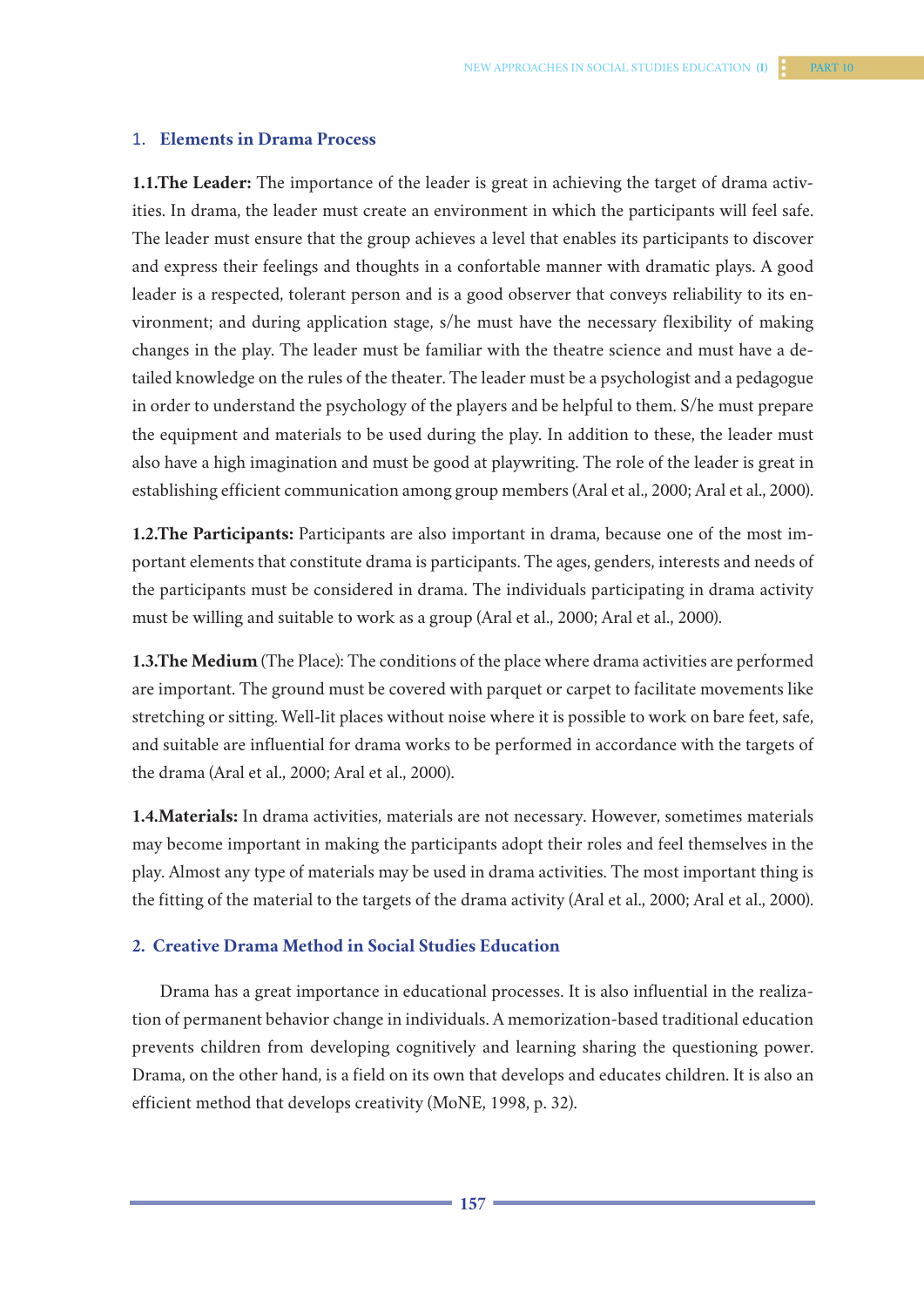#### 1. **Elements in Drama Process**

**1.1.The Leader:** The importance of the leader is great in achieving the target of drama activities. In drama, the leader must create an environment in which the participants will feel safe. The leader must ensure that the group achieves a level that enables its participants to discover and express their feelings and thoughts in a confortable manner with dramatic plays. A good leader is a respected, tolerant person and is a good observer that conveys reliability to its environment; and during application stage, s/he must have the necessary flexibility of making changes in the play. The leader must be familiar with the theatre science and must have a detailed knowledge on the rules of the theater. The leader must be a psychologist and a pedagogue in order to understand the psychology of the players and be helpful to them. S/he must prepare the equipment and materials to be used during the play. In addition to these, the leader must also have a high imagination and must be good at playwriting. The role of the leader is great in establishing efficient communication among group members (Aral et al., 2000; Aral et al., 2000).

**1.2.The Participants:** Participants are also important in drama, because one of the most important elements that constitute drama is participants. The ages, genders, interests and needs of the participants must be considered in drama. The individuals participating in drama activity must be willing and suitable to work as a group (Aral et al., 2000; Aral et al., 2000).

**1.3.The Medium** (The Place): The conditions of the place where drama activities are performed are important. The ground must be covered with parquet or carpet to facilitate movements like stretching or sitting. Well-lit places without noise where it is possible to work on bare feet, safe, and suitable are influential for drama works to be performed in accordance with the targets of the drama (Aral et al., 2000; Aral et al., 2000).

**1.4.Materials:** In drama activities, materials are not necessary. However, sometimes materials may become important in making the participants adopt their roles and feel themselves in the play. Almost any type of materials may be used in drama activities. The most important thing is the fitting of the material to the targets of the drama activity (Aral et al., 2000; Aral et al., 2000).

## **2. Creative Drama Method in Social Studies Education**

Drama has a great importance in educational processes. It is also influential in the realization of permanent behavior change in individuals. A memorization-based traditional education prevents children from developing cognitively and learning sharing the questioning power. Drama, on the other hand, is a field on its own that develops and educates children. It is also an efficient method that develops creativity (MoNE, 1998, p. 32).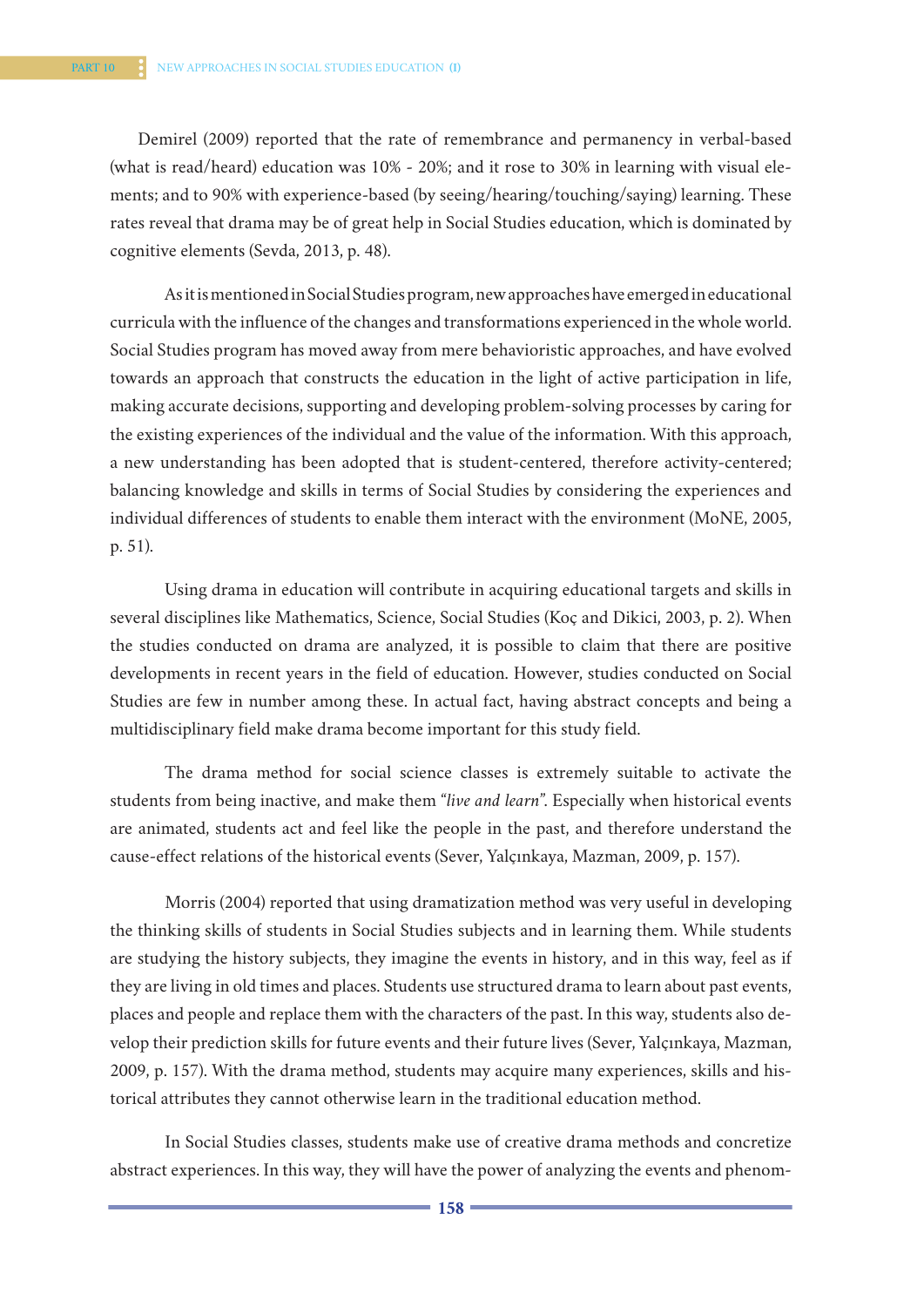Demirel (2009) reported that the rate of remembrance and permanency in verbal-based (what is read/heard) education was 10% - 20%; and it rose to 30% in learning with visual elements; and to 90% with experience-based (by seeing/hearing/touching/saying) learning. These rates reveal that drama may be of great help in Social Studies education, which is dominated by cognitive elements (Sevda, 2013, p. 48).

As it is mentioned in Social Studies program, new approaches have emerged in educational curricula with the influence of the changes and transformations experienced in the whole world. Social Studies program has moved away from mere behavioristic approaches, and have evolved towards an approach that constructs the education in the light of active participation in life, making accurate decisions, supporting and developing problem-solving processes by caring for the existing experiences of the individual and the value of the information. With this approach, a new understanding has been adopted that is student-centered, therefore activity-centered; balancing knowledge and skills in terms of Social Studies by considering the experiences and individual differences of students to enable them interact with the environment (MoNE, 2005, p. 51).

Using drama in education will contribute in acquiring educational targets and skills in several disciplines like Mathematics, Science, Social Studies (Koç and Dikici, 2003, p. 2). When the studies conducted on drama are analyzed, it is possible to claim that there are positive developments in recent years in the field of education. However, studies conducted on Social Studies are few in number among these. In actual fact, having abstract concepts and being a multidisciplinary field make drama become important for this study field.

The drama method for social science classes is extremely suitable to activate the students from being inactive, and make them "*live and learn*". Especially when historical events are animated, students act and feel like the people in the past, and therefore understand the cause-effect relations of the historical events (Sever, Yalçınkaya, Mazman, 2009, p. 157).

Morris (2004) reported that using dramatization method was very useful in developing the thinking skills of students in Social Studies subjects and in learning them. While students are studying the history subjects, they imagine the events in history, and in this way, feel as if they are living in old times and places. Students use structured drama to learn about past events, places and people and replace them with the characters of the past. In this way, students also develop their prediction skills for future events and their future lives (Sever, Yalçınkaya, Mazman, 2009, p. 157). With the drama method, students may acquire many experiences, skills and historical attributes they cannot otherwise learn in the traditional education method.

In Social Studies classes, students make use of creative drama methods and concretize abstract experiences. In this way, they will have the power of analyzing the events and phenom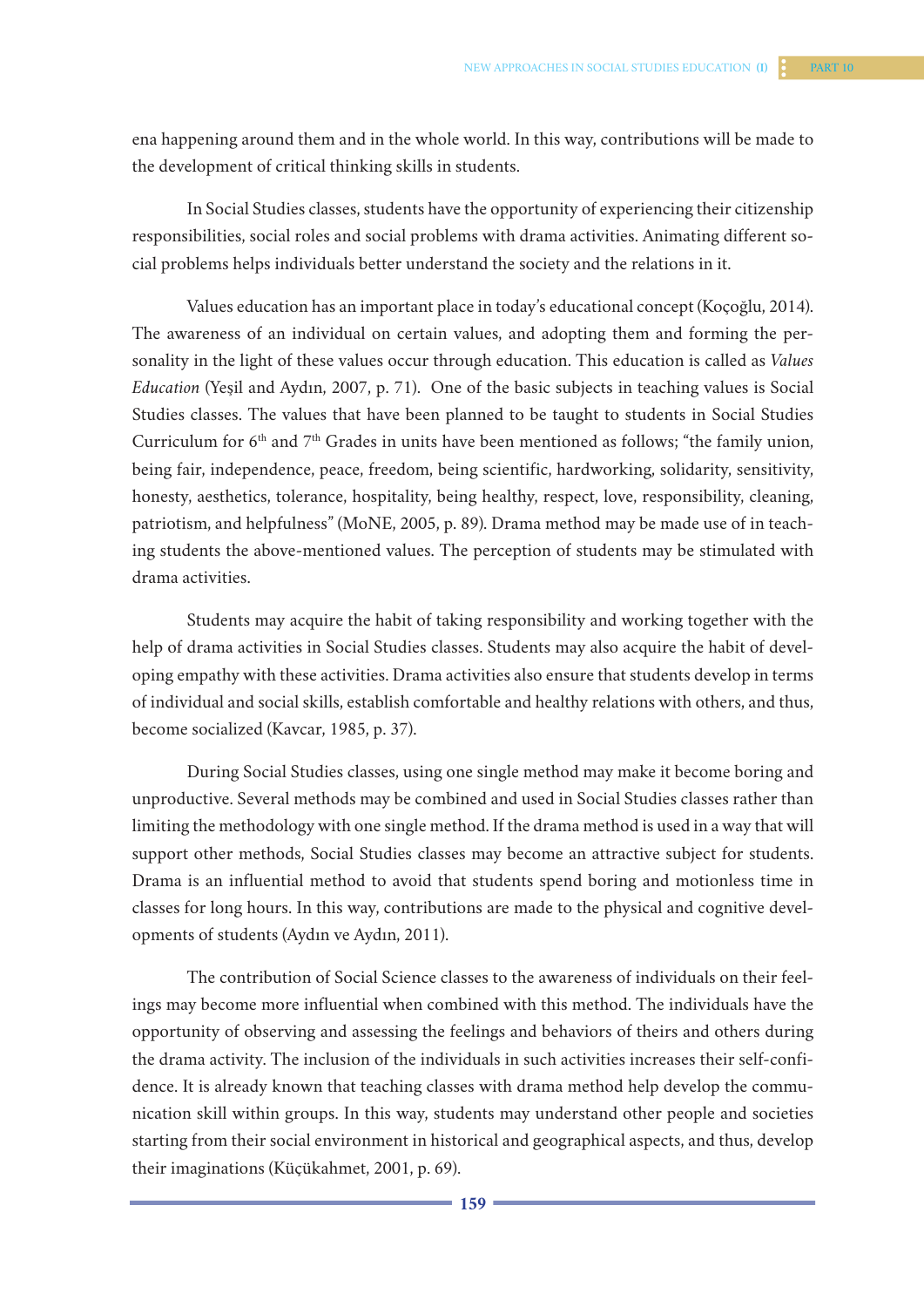ena happening around them and in the whole world. In this way, contributions will be made to the development of critical thinking skills in students.

In Social Studies classes, students have the opportunity of experiencing their citizenship responsibilities, social roles and social problems with drama activities. Animating different social problems helps individuals better understand the society and the relations in it.

Values education has an important place in today's educational concept (Koçoğlu, 2014). The awareness of an individual on certain values, and adopting them and forming the personality in the light of these values occur through education. This education is called as *Values Education* (Yeşil and Aydın, 2007, p. 71). One of the basic subjects in teaching values is Social Studies classes. The values that have been planned to be taught to students in Social Studies Curriculum for  $6<sup>th</sup>$  and  $7<sup>th</sup>$  Grades in units have been mentioned as follows; "the family union, being fair, independence, peace, freedom, being scientific, hardworking, solidarity, sensitivity, honesty, aesthetics, tolerance, hospitality, being healthy, respect, love, responsibility, cleaning, patriotism, and helpfulness" (MoNE, 2005, p. 89). Drama method may be made use of in teaching students the above-mentioned values. The perception of students may be stimulated with drama activities.

Students may acquire the habit of taking responsibility and working together with the help of drama activities in Social Studies classes. Students may also acquire the habit of developing empathy with these activities. Drama activities also ensure that students develop in terms of individual and social skills, establish comfortable and healthy relations with others, and thus, become socialized (Kavcar, 1985, p. 37).

During Social Studies classes, using one single method may make it become boring and unproductive. Several methods may be combined and used in Social Studies classes rather than limiting the methodology with one single method. If the drama method is used in a way that will support other methods, Social Studies classes may become an attractive subject for students. Drama is an influential method to avoid that students spend boring and motionless time in classes for long hours. In this way, contributions are made to the physical and cognitive developments of students (Aydın ve Aydın, 2011).

The contribution of Social Science classes to the awareness of individuals on their feelings may become more influential when combined with this method. The individuals have the opportunity of observing and assessing the feelings and behaviors of theirs and others during the drama activity. The inclusion of the individuals in such activities increases their self-confidence. It is already known that teaching classes with drama method help develop the communication skill within groups. In this way, students may understand other people and societies starting from their social environment in historical and geographical aspects, and thus, develop their imaginations (Küçükahmet, 2001, p. 69).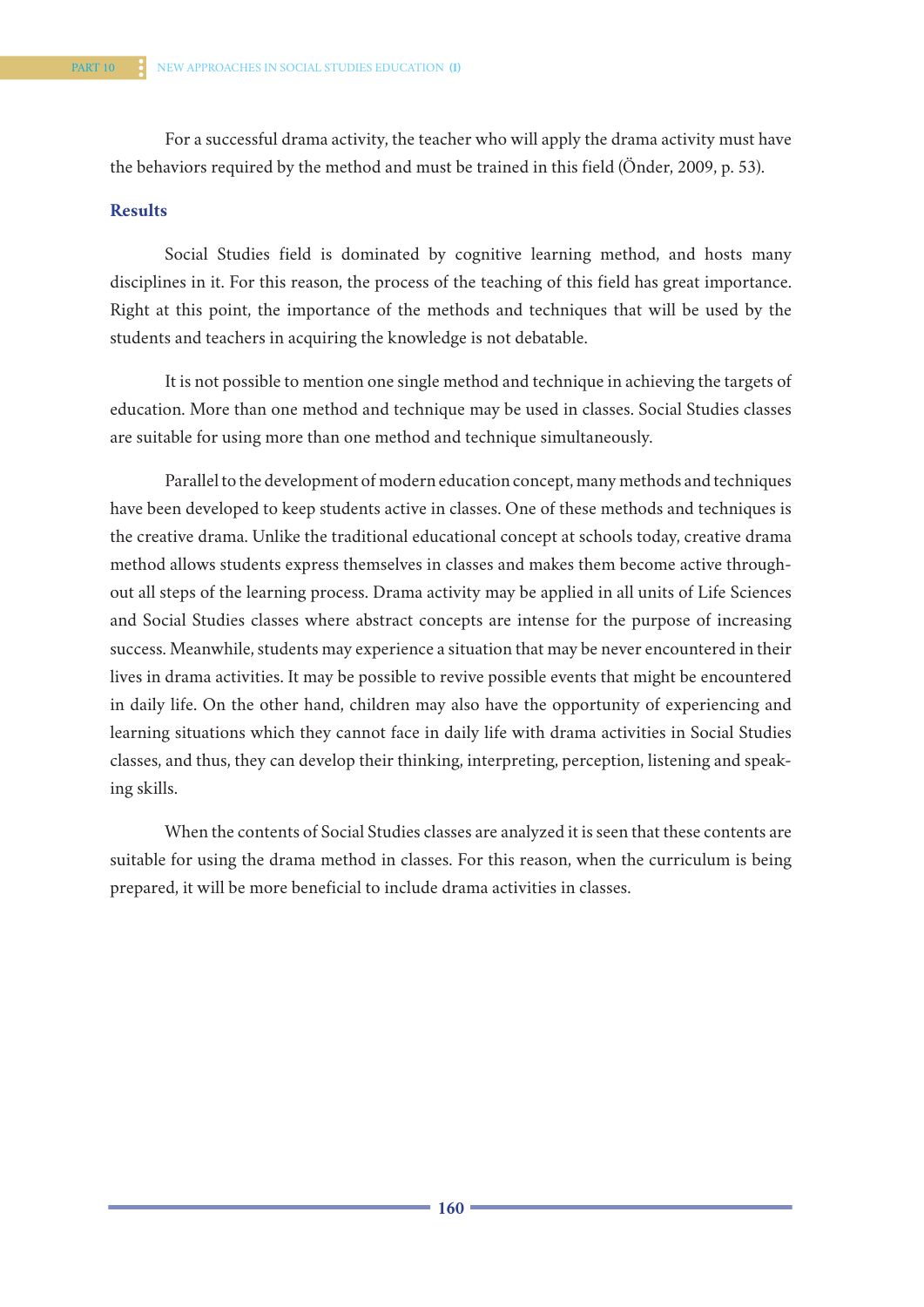For a successful drama activity, the teacher who will apply the drama activity must have the behaviors required by the method and must be trained in this field (Önder, 2009, p. 53).

# **Results**

Social Studies field is dominated by cognitive learning method, and hosts many disciplines in it. For this reason, the process of the teaching of this field has great importance. Right at this point, the importance of the methods and techniques that will be used by the students and teachers in acquiring the knowledge is not debatable.

It is not possible to mention one single method and technique in achieving the targets of education. More than one method and technique may be used in classes. Social Studies classes are suitable for using more than one method and technique simultaneously.

Parallel to the development of modern education concept, many methods and techniques have been developed to keep students active in classes. One of these methods and techniques is the creative drama. Unlike the traditional educational concept at schools today, creative drama method allows students express themselves in classes and makes them become active throughout all steps of the learning process. Drama activity may be applied in all units of Life Sciences and Social Studies classes where abstract concepts are intense for the purpose of increasing success. Meanwhile, students may experience a situation that may be never encountered in their lives in drama activities. It may be possible to revive possible events that might be encountered in daily life. On the other hand, children may also have the opportunity of experiencing and learning situations which they cannot face in daily life with drama activities in Social Studies classes, and thus, they can develop their thinking, interpreting, perception, listening and speaking skills.

When the contents of Social Studies classes are analyzed it is seen that these contents are suitable for using the drama method in classes. For this reason, when the curriculum is being prepared, it will be more beneficial to include drama activities in classes.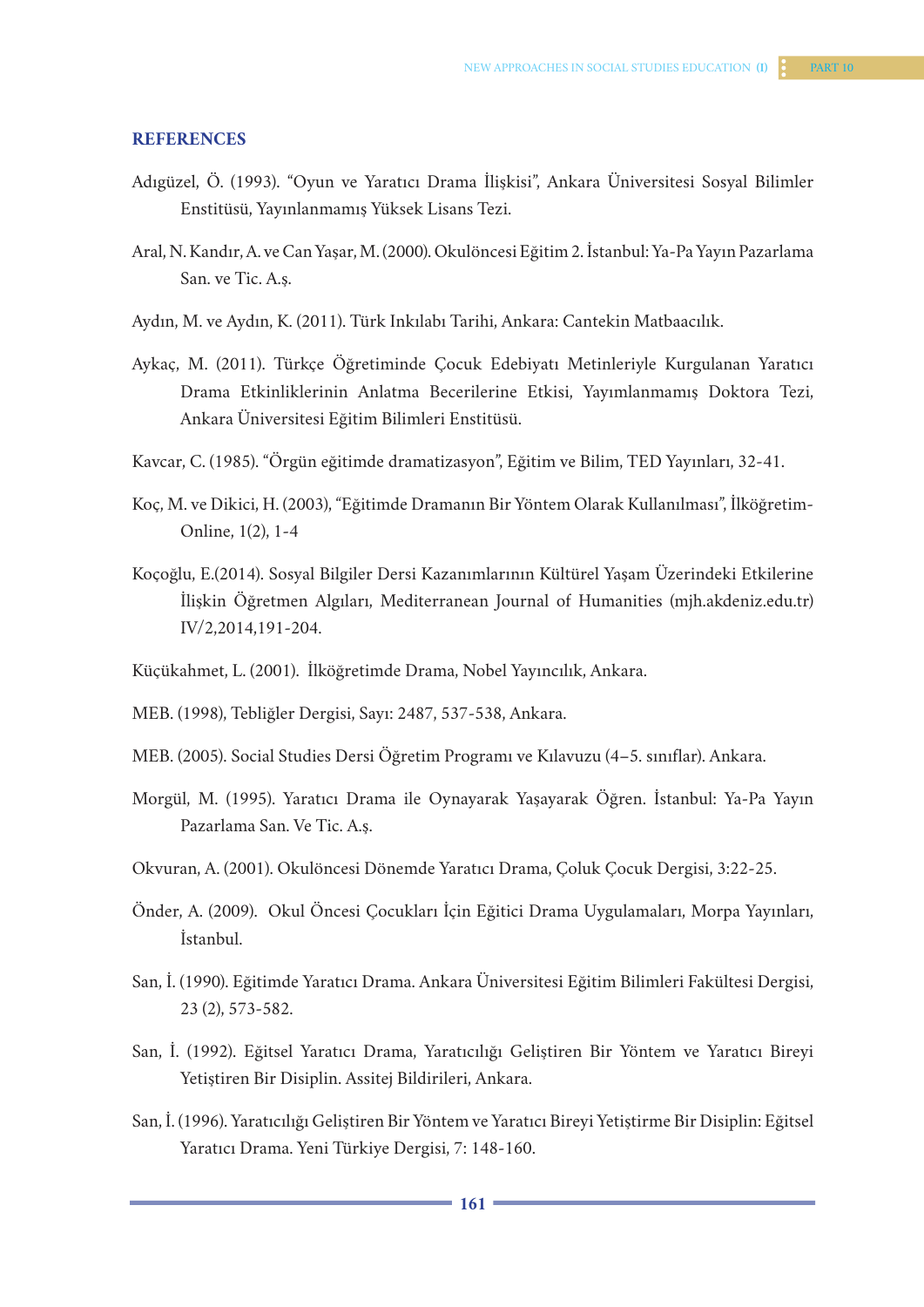#### **REFERENCES**

- Adıgüzel, Ö. (1993). "Oyun ve Yaratıcı Drama İlişkisi", Ankara Üniversitesi Sosyal Bilimler Enstitüsü, Yayınlanmamış Yüksek Lisans Tezi.
- Aral, N. Kandır, A. ve Can Yaşar, M. (2000). Okulöncesi Eğitim 2. İstanbul: Ya-Pa Yayın Pazarlama San. ve Tic. A.ş.
- Aydın, M. ve Aydın, K. (2011). Türk Inkılabı Tarihi, Ankara: Cantekin Matbaacılık.
- Aykaç, M. (2011). Türkçe Öğretiminde Çocuk Edebiyatı Metinleriyle Kurgulanan Yaratıcı Drama Etkinliklerinin Anlatma Becerilerine Etkisi, Yayımlanmamış Doktora Tezi, Ankara Üniversitesi Eğitim Bilimleri Enstitüsü.
- Kavcar, C. (1985). "Örgün eğitimde dramatizasyon", Eğitim ve Bilim, TED Yayınları, 32-41.
- Koç, M. ve Dikici, H. (2003), "Eğitimde Dramanın Bir Yöntem Olarak Kullanılması", İlköğretim-Online, 1(2), 1-4
- Koçoğlu, E.(2014). Sosyal Bilgiler Dersi Kazanımlarının Kültürel Yaşam Üzerindeki Etkilerine İlişkin Öğretmen Algıları, Mediterranean Journal of Humanities (mjh.akdeniz.edu.tr) IV/2,2014,191-204.
- Küçükahmet, L. (2001). İlköğretimde Drama, Nobel Yayıncılık, Ankara.
- MEB. (1998), Tebliğler Dergisi, Sayı: 2487, 537-538, Ankara.
- MEB. (2005). Social Studies Dersi Öğretim Programı ve Kılavuzu (4–5. sınıflar). Ankara.
- Morgül, M. (1995). Yaratıcı Drama ile Oynayarak Yaşayarak Öğren. İstanbul: Ya-Pa Yayın Pazarlama San. Ve Tic. A.ş.
- Okvuran, A. (2001). Okulöncesi Dönemde Yaratıcı Drama, Çoluk Çocuk Dergisi, 3:22-25.
- Önder, A. (2009). Okul Öncesi Çocukları İçin Eğitici Drama Uygulamaları, Morpa Yayınları, İstanbul.
- San, İ. (1990). Eğitimde Yaratıcı Drama. Ankara Üniversitesi Eğitim Bilimleri Fakültesi Dergisi, 23 (2), 573-582.
- San, İ. (1992). Eğitsel Yaratıcı Drama, Yaratıcılığı Geliştiren Bir Yöntem ve Yaratıcı Bireyi Yetiştiren Bir Disiplin. Assitej Bildirileri, Ankara.
- San, İ. (1996). Yaratıcılığı Geliştiren Bir Yöntem ve Yaratıcı Bireyi Yetiştirme Bir Disiplin: Eğitsel Yaratıcı Drama. Yeni Türkiye Dergisi, 7: 148-160.